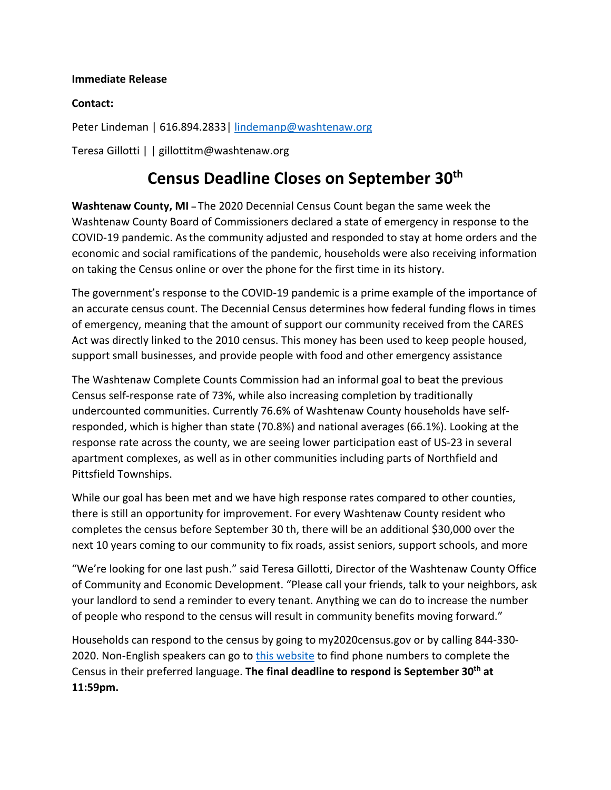## **Immediate Release**

## **Contact:**

Peter Lindeman | 616.894.2833 | [lindemanp@washtenaw.org](mailto:lindemanp@washtenaw.org)

Teresa Gillotti | | gillottitm@washtenaw.org

## **Census Deadline Closes on September 30th**

**Washtenaw County, MI –** The 2020 Decennial Census Count began the same week the Washtenaw County Board of Commissioners declared a state of emergency in response to the COVID-19 pandemic. Asthe community adjusted and responded to stay at home orders and the economic and social ramifications of the pandemic, households were also receiving information on taking the Census online or over the phone for the first time in its history.

The government's response to the COVID-19 pandemic is a prime example of the importance of an accurate census count. The Decennial Census determines how federal funding flows in times of emergency, meaning that the amount of support our community received from the CARES Act was directly linked to the 2010 census. This money has been used to keep people housed, support small businesses, and provide people with food and other emergency assistance

The Washtenaw Complete Counts Commission had an informal goal to beat the previous Census self-response rate of 73%, while also increasing completion by traditionally undercounted communities. Currently 76.6% of Washtenaw County households have selfresponded, which is higher than state (70.8%) and national averages (66.1%). Looking at the response rate across the county, we are seeing lower participation east of US-23 in several apartment complexes, as well as in other communities including parts of Northfield and Pittsfield Townships.

While our goal has been met and we have high response rates compared to other counties, there is still an opportunity for improvement. For every Washtenaw County resident who completes the census before September 30 th, there will be an additional \$30,000 over the next 10 years coming to our community to fix roads, assist seniors, support schools, and more

"We're looking for one last push." said Teresa Gillotti, Director of the Washtenaw County Office of Community and Economic Development. "Please call your friends, talk to your neighbors, ask your landlord to send a reminder to every tenant. Anything we can do to increase the number of people who respond to the census will result in community benefits moving forward."

Households can respond to the census by going to my2020census.gov or by calling 844-330 2020. Non-English speakers can go to [this website](https://2020census.gov/en/ways-to-respond/responding-by-phone.html) to find phone numbers to complete the Census in their preferred language. **The final deadline to respond is September 30th at 11:59pm.**